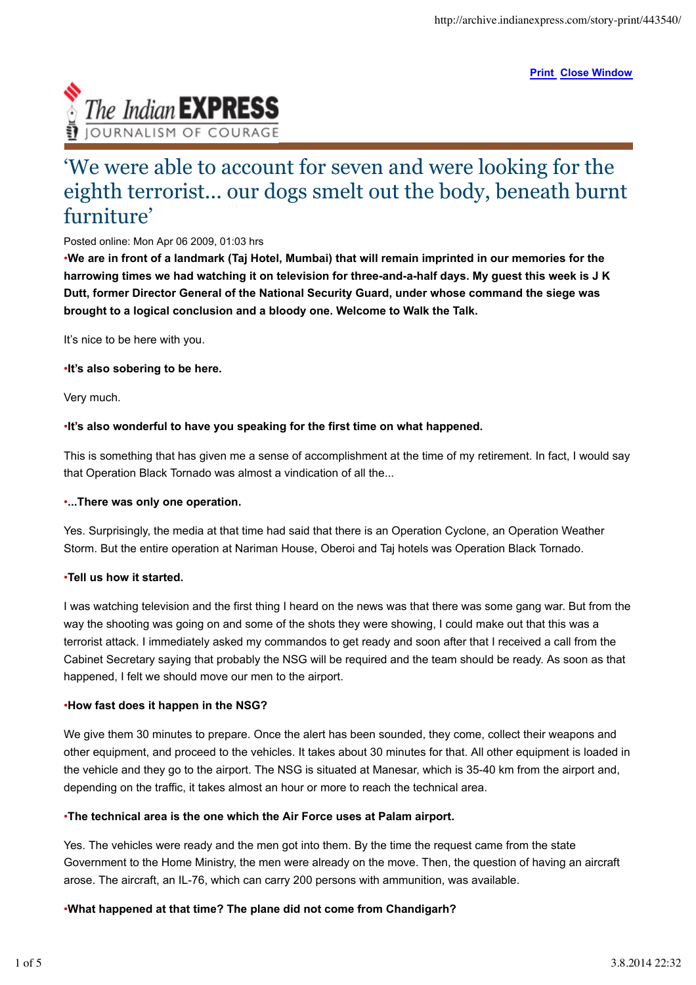**Print Close Window**



# 'We were able to account for seven and were looking for the eighth terrorist... our dogs smelt out the body, beneath burnt furniture'

## Posted online: Mon Apr 06 2009, 01:03 hrs

•**We are in front of a landmark (Taj Hotel, Mumbai) that will remain imprinted in our memories for the harrowing times we had watching it on television for three-and-a-half days. My guest this week is J K Dutt, former Director General of the National Security Guard, under whose command the siege was brought to a logical conclusion and a bloody one. Welcome to Walk the Talk.**

It's nice to be here with you.

#### •**It's also sobering to be here.**

Very much.

## •**It's also wonderful to have you speaking for the first time on what happened.**

This is something that has given me a sense of accomplishment at the time of my retirement. In fact, I would say that Operation Black Tornado was almost a vindication of all the...

## •**...There was only one operation.**

Yes. Surprisingly, the media at that time had said that there is an Operation Cyclone, an Operation Weather Storm. But the entire operation at Nariman House, Oberoi and Taj hotels was Operation Black Tornado.

## •**Tell us how it started.**

I was watching television and the first thing I heard on the news was that there was some gang war. But from the way the shooting was going on and some of the shots they were showing, I could make out that this was a terrorist attack. I immediately asked my commandos to get ready and soon after that I received a call from the Cabinet Secretary saying that probably the NSG will be required and the team should be ready. As soon as that happened, I felt we should move our men to the airport.

#### •**How fast does it happen in the NSG?**

We give them 30 minutes to prepare. Once the alert has been sounded, they come, collect their weapons and other equipment, and proceed to the vehicles. It takes about 30 minutes for that. All other equipment is loaded in the vehicle and they go to the airport. The NSG is situated at Manesar, which is 35-40 km from the airport and, depending on the traffic, it takes almost an hour or more to reach the technical area.

## •**The technical area is the one which the Air Force uses at Palam airport.**

Yes. The vehicles were ready and the men got into them. By the time the request came from the state Government to the Home Ministry, the men were already on the move. Then, the question of having an aircraft arose. The aircraft, an IL-76, which can carry 200 persons with ammunition, was available.

## •**What happened at that time? The plane did not come from Chandigarh?**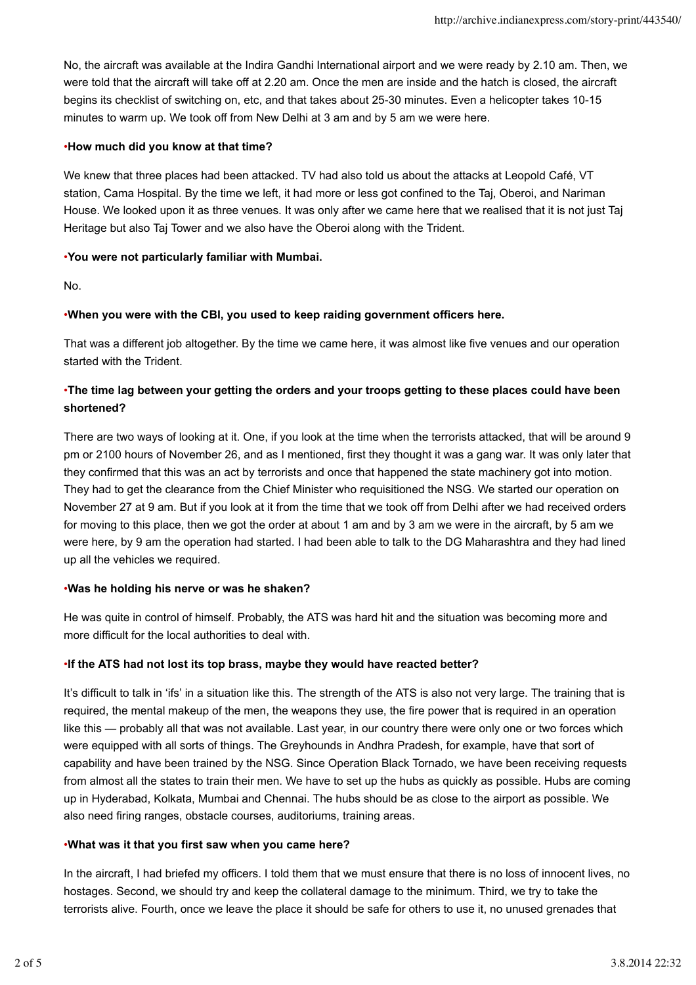No, the aircraft was available at the Indira Gandhi International airport and we were ready by 2.10 am. Then, we were told that the aircraft will take off at 2.20 am. Once the men are inside and the hatch is closed, the aircraft begins its checklist of switching on, etc, and that takes about 25-30 minutes. Even a helicopter takes 10-15 minutes to warm up. We took off from New Delhi at 3 am and by 5 am we were here.

## •**How much did you know at that time?**

We knew that three places had been attacked. TV had also told us about the attacks at Leopold Café, VT station, Cama Hospital. By the time we left, it had more or less got confined to the Taj, Oberoi, and Nariman House. We looked upon it as three venues. It was only after we came here that we realised that it is not just Taj Heritage but also Taj Tower and we also have the Oberoi along with the Trident.

## •**You were not particularly familiar with Mumbai.**

No.

## •**When you were with the CBI, you used to keep raiding government officers here.**

That was a different job altogether. By the time we came here, it was almost like five venues and our operation started with the Trident.

# •**The time lag between your getting the orders and your troops getting to these places could have been shortened?**

There are two ways of looking at it. One, if you look at the time when the terrorists attacked, that will be around 9 pm or 2100 hours of November 26, and as I mentioned, first they thought it was a gang war. It was only later that they confirmed that this was an act by terrorists and once that happened the state machinery got into motion. They had to get the clearance from the Chief Minister who requisitioned the NSG. We started our operation on November 27 at 9 am. But if you look at it from the time that we took off from Delhi after we had received orders for moving to this place, then we got the order at about 1 am and by 3 am we were in the aircraft, by 5 am we were here, by 9 am the operation had started. I had been able to talk to the DG Maharashtra and they had lined up all the vehicles we required.

## •**Was he holding his nerve or was he shaken?**

He was quite in control of himself. Probably, the ATS was hard hit and the situation was becoming more and more difficult for the local authorities to deal with.

## •**If the ATS had not lost its top brass, maybe they would have reacted better?**

It's difficult to talk in 'ifs' in a situation like this. The strength of the ATS is also not very large. The training that is required, the mental makeup of the men, the weapons they use, the fire power that is required in an operation like this — probably all that was not available. Last year, in our country there were only one or two forces which were equipped with all sorts of things. The Greyhounds in Andhra Pradesh, for example, have that sort of capability and have been trained by the NSG. Since Operation Black Tornado, we have been receiving requests from almost all the states to train their men. We have to set up the hubs as quickly as possible. Hubs are coming up in Hyderabad, Kolkata, Mumbai and Chennai. The hubs should be as close to the airport as possible. We also need firing ranges, obstacle courses, auditoriums, training areas.

## •**What was it that you first saw when you came here?**

In the aircraft, I had briefed my officers. I told them that we must ensure that there is no loss of innocent lives, no hostages. Second, we should try and keep the collateral damage to the minimum. Third, we try to take the terrorists alive. Fourth, once we leave the place it should be safe for others to use it, no unused grenades that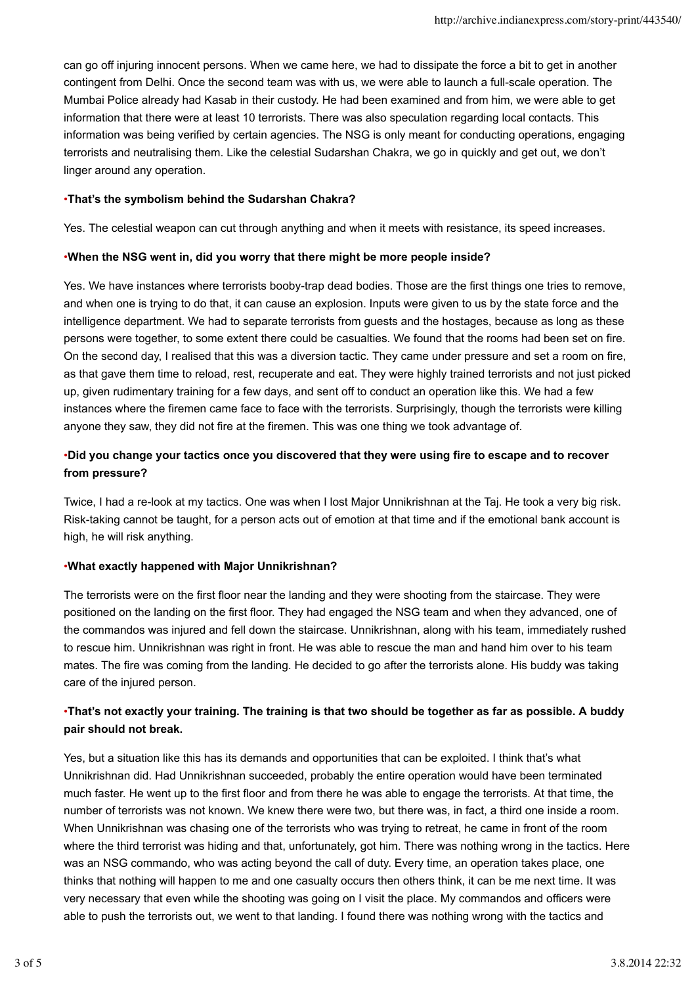can go off injuring innocent persons. When we came here, we had to dissipate the force a bit to get in another contingent from Delhi. Once the second team was with us, we were able to launch a full-scale operation. The Mumbai Police already had Kasab in their custody. He had been examined and from him, we were able to get information that there were at least 10 terrorists. There was also speculation regarding local contacts. This information was being verified by certain agencies. The NSG is only meant for conducting operations, engaging terrorists and neutralising them. Like the celestial Sudarshan Chakra, we go in quickly and get out, we don't linger around any operation.

## •**That's the symbolism behind the Sudarshan Chakra?**

Yes. The celestial weapon can cut through anything and when it meets with resistance, its speed increases.

#### •**When the NSG went in, did you worry that there might be more people inside?**

Yes. We have instances where terrorists booby-trap dead bodies. Those are the first things one tries to remove, and when one is trying to do that, it can cause an explosion. Inputs were given to us by the state force and the intelligence department. We had to separate terrorists from guests and the hostages, because as long as these persons were together, to some extent there could be casualties. We found that the rooms had been set on fire. On the second day, I realised that this was a diversion tactic. They came under pressure and set a room on fire, as that gave them time to reload, rest, recuperate and eat. They were highly trained terrorists and not just picked up, given rudimentary training for a few days, and sent off to conduct an operation like this. We had a few instances where the firemen came face to face with the terrorists. Surprisingly, though the terrorists were killing anyone they saw, they did not fire at the firemen. This was one thing we took advantage of.

# •**Did you change your tactics once you discovered that they were using fire to escape and to recover from pressure?**

Twice, I had a re-look at my tactics. One was when I lost Major Unnikrishnan at the Taj. He took a very big risk. Risk-taking cannot be taught, for a person acts out of emotion at that time and if the emotional bank account is high, he will risk anything.

## •**What exactly happened with Major Unnikrishnan?**

The terrorists were on the first floor near the landing and they were shooting from the staircase. They were positioned on the landing on the first floor. They had engaged the NSG team and when they advanced, one of the commandos was injured and fell down the staircase. Unnikrishnan, along with his team, immediately rushed to rescue him. Unnikrishnan was right in front. He was able to rescue the man and hand him over to his team mates. The fire was coming from the landing. He decided to go after the terrorists alone. His buddy was taking care of the injured person.

# •**That's not exactly your training. The training is that two should be together as far as possible. A buddy pair should not break.**

Yes, but a situation like this has its demands and opportunities that can be exploited. I think that's what Unnikrishnan did. Had Unnikrishnan succeeded, probably the entire operation would have been terminated much faster. He went up to the first floor and from there he was able to engage the terrorists. At that time, the number of terrorists was not known. We knew there were two, but there was, in fact, a third one inside a room. When Unnikrishnan was chasing one of the terrorists who was trying to retreat, he came in front of the room where the third terrorist was hiding and that, unfortunately, got him. There was nothing wrong in the tactics. Here was an NSG commando, who was acting beyond the call of duty. Every time, an operation takes place, one thinks that nothing will happen to me and one casualty occurs then others think, it can be me next time. It was very necessary that even while the shooting was going on I visit the place. My commandos and officers were able to push the terrorists out, we went to that landing. I found there was nothing wrong with the tactics and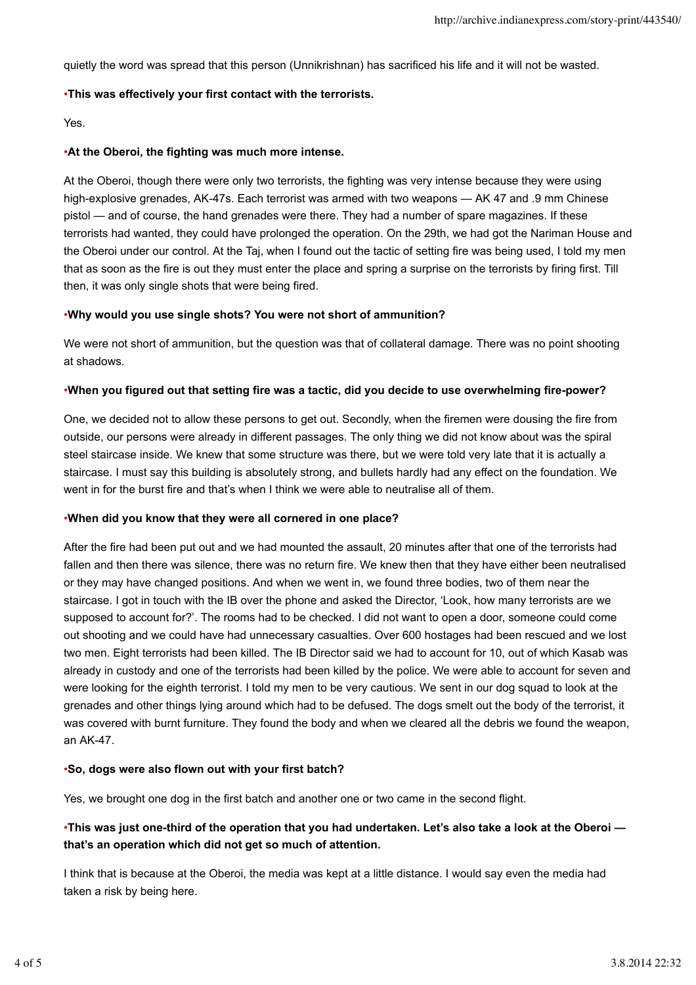quietly the word was spread that this person (Unnikrishnan) has sacrificed his life and it will not be wasted.

#### •**This was effectively your first contact with the terrorists.**

Yes.

#### •**At the Oberoi, the fighting was much more intense.**

At the Oberoi, though there were only two terrorists, the fighting was very intense because they were using high-explosive grenades, AK-47s. Each terrorist was armed with two weapons — AK 47 and .9 mm Chinese pistol — and of course, the hand grenades were there. They had a number of spare magazines. If these terrorists had wanted, they could have prolonged the operation. On the 29th, we had got the Nariman House and the Oberoi under our control. At the Taj, when I found out the tactic of setting fire was being used, I told my men that as soon as the fire is out they must enter the place and spring a surprise on the terrorists by firing first. Till then, it was only single shots that were being fired.

#### •**Why would you use single shots? You were not short of ammunition?**

We were not short of ammunition, but the question was that of collateral damage. There was no point shooting at shadows.

#### •**When you figured out that setting fire was a tactic, did you decide to use overwhelming fire-power?**

One, we decided not to allow these persons to get out. Secondly, when the firemen were dousing the fire from outside, our persons were already in different passages. The only thing we did not know about was the spiral steel staircase inside. We knew that some structure was there, but we were told very late that it is actually a staircase. I must say this building is absolutely strong, and bullets hardly had any effect on the foundation. We went in for the burst fire and that's when I think we were able to neutralise all of them.

#### •**When did you know that they were all cornered in one place?**

After the fire had been put out and we had mounted the assault, 20 minutes after that one of the terrorists had fallen and then there was silence, there was no return fire. We knew then that they have either been neutralised or they may have changed positions. And when we went in, we found three bodies, two of them near the staircase. I got in touch with the IB over the phone and asked the Director, 'Look, how many terrorists are we supposed to account for?'. The rooms had to be checked. I did not want to open a door, someone could come out shooting and we could have had unnecessary casualties. Over 600 hostages had been rescued and we lost two men. Eight terrorists had been killed. The IB Director said we had to account for 10, out of which Kasab was already in custody and one of the terrorists had been killed by the police. We were able to account for seven and were looking for the eighth terrorist. I told my men to be very cautious. We sent in our dog squad to look at the grenades and other things lying around which had to be defused. The dogs smelt out the body of the terrorist, it was covered with burnt furniture. They found the body and when we cleared all the debris we found the weapon, an AK-47.

#### •**So, dogs were also flown out with your first batch?**

Yes, we brought one dog in the first batch and another one or two came in the second flight.

# •**This was just one-third of the operation that you had undertaken. Let's also take a look at the Oberoi that's an operation which did not get so much of attention.**

I think that is because at the Oberoi, the media was kept at a little distance. I would say even the media had taken a risk by being here.